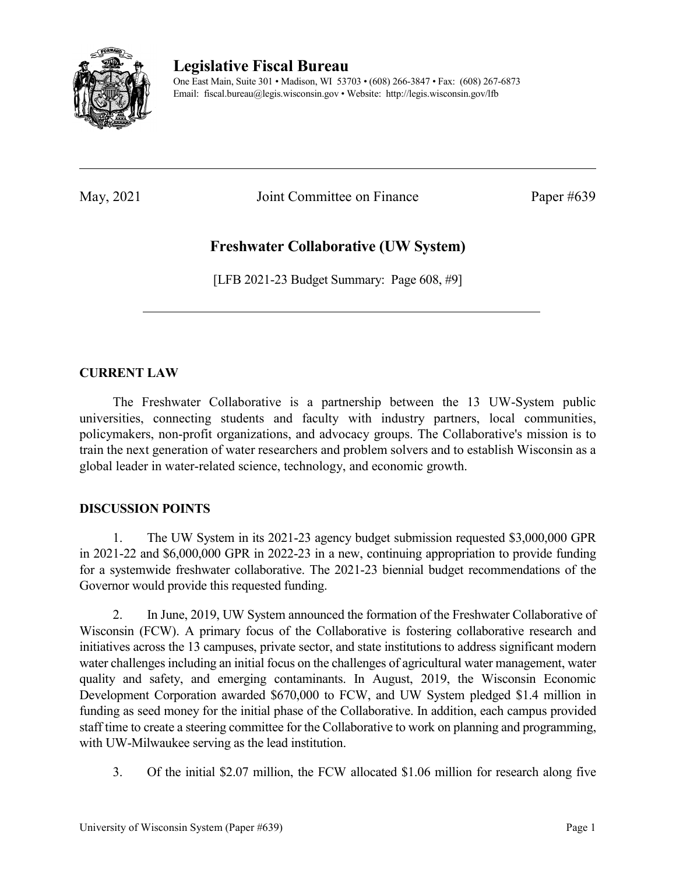

## **Legislative Fiscal Bureau**

One East Main, Suite 301 • Madison, WI 53703 • (608) 266-3847 • Fax: (608) 267-6873 Email: fiscal.bureau@legis.wisconsin.gov • Website:<http://legis.wisconsin.gov/lfb>

May, 2021 Joint Committee on Finance Paper #639

# **Freshwater Collaborative (UW System)**

[LFB 2021-23 Budget Summary: Page 608, #9]

#### **CURRENT LAW**

The Freshwater Collaborative is a partnership between the 13 UW-System public universities, connecting students and faculty with industry partners, local communities, policymakers, non-profit organizations, and advocacy groups. The Collaborative's mission is to train the next generation of water researchers and problem solvers and to establish Wisconsin as a global leader in water-related science, technology, and economic growth.

#### **DISCUSSION POINTS**

1. The UW System in its 2021-23 agency budget submission requested \$3,000,000 GPR in 2021-22 and \$6,000,000 GPR in 2022-23 in a new, continuing appropriation to provide funding for a systemwide freshwater collaborative. The 2021-23 biennial budget recommendations of the Governor would provide this requested funding.

2. In June, 2019, UW System announced the formation of the Freshwater Collaborative of Wisconsin (FCW). A primary focus of the Collaborative is fostering collaborative research and initiatives across the 13 campuses, private sector, and state institutions to address significant modern water challenges including an initial focus on the challenges of agricultural water management, water quality and safety, and emerging contaminants. In August, 2019, the Wisconsin Economic Development Corporation awarded \$670,000 to FCW, and UW System pledged \$1.4 million in funding as seed money for the initial phase of the Collaborative. In addition, each campus provided staff time to create a steering committee for the Collaborative to work on planning and programming, with UW-Milwaukee serving as the lead institution.

3. Of the initial \$2.07 million, the FCW allocated \$1.06 million for research along five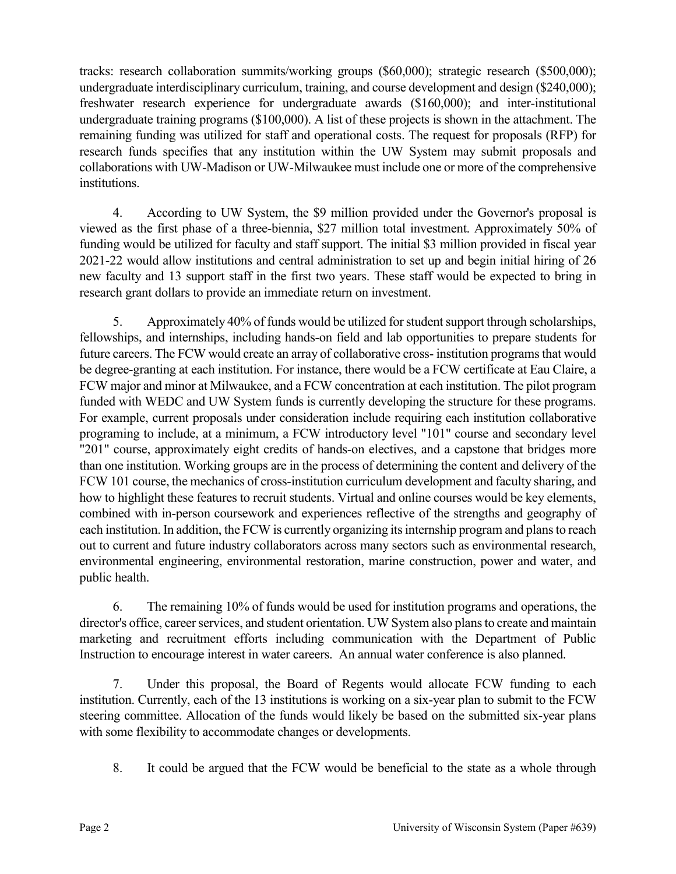tracks: research collaboration summits/working groups (\$60,000); strategic research (\$500,000); undergraduate interdisciplinary curriculum, training, and course development and design (\$240,000); freshwater research experience for undergraduate awards (\$160,000); and inter-institutional undergraduate training programs (\$100,000). A list of these projects is shown in the attachment. The remaining funding was utilized for staff and operational costs. The request for proposals (RFP) for research funds specifies that any institution within the UW System may submit proposals and collaborations with UW-Madison or UW-Milwaukee must include one or more of the comprehensive institutions.

4. According to UW System, the \$9 million provided under the Governor's proposal is viewed as the first phase of a three-biennia, \$27 million total investment. Approximately 50% of funding would be utilized for faculty and staff support. The initial \$3 million provided in fiscal year 2021-22 would allow institutions and central administration to set up and begin initial hiring of 26 new faculty and 13 support staff in the first two years. These staff would be expected to bring in research grant dollars to provide an immediate return on investment.

5. Approximately 40% of funds would be utilized for student support through scholarships, fellowships, and internships, including hands-on field and lab opportunities to prepare students for future careers. The FCW would create an array of collaborative cross- institution programs that would be degree-granting at each institution. For instance, there would be a FCW certificate at Eau Claire, a FCW major and minor at Milwaukee, and a FCW concentration at each institution. The pilot program funded with WEDC and UW System funds is currently developing the structure for these programs. For example, current proposals under consideration include requiring each institution collaborative programing to include, at a minimum, a FCW introductory level "101" course and secondary level "201" course, approximately eight credits of hands-on electives, and a capstone that bridges more than one institution. Working groups are in the process of determining the content and delivery of the FCW 101 course, the mechanics of cross-institution curriculum development and faculty sharing, and how to highlight these features to recruit students. Virtual and online courses would be key elements, combined with in-person coursework and experiences reflective of the strengths and geography of each institution. In addition, the FCW is currently organizing its internship program and plans to reach out to current and future industry collaborators across many sectors such as environmental research, environmental engineering, environmental restoration, marine construction, power and water, and public health.

6. The remaining 10% of funds would be used for institution programs and operations, the director's office, career services, and student orientation. UW System also plans to create and maintain marketing and recruitment efforts including communication with the Department of Public Instruction to encourage interest in water careers. An annual water conference is also planned.

7. Under this proposal, the Board of Regents would allocate FCW funding to each institution. Currently, each of the 13 institutions is working on a six-year plan to submit to the FCW steering committee. Allocation of the funds would likely be based on the submitted six-year plans with some flexibility to accommodate changes or developments.

8. It could be argued that the FCW would be beneficial to the state as a whole through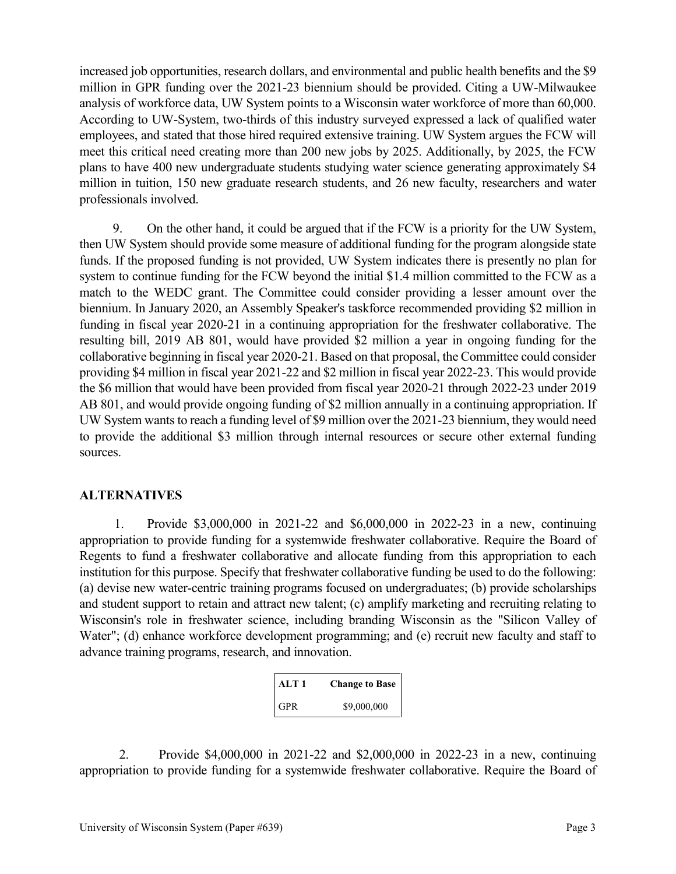increased job opportunities, research dollars, and environmental and public health benefits and the \$9 million in GPR funding over the 2021-23 biennium should be provided. Citing a UW-Milwaukee analysis of workforce data, UW System points to a Wisconsin water workforce of more than 60,000. According to UW-System, two-thirds of this industry surveyed expressed a lack of qualified water employees, and stated that those hired required extensive training. UW System argues the FCW will meet this critical need creating more than 200 new jobs by 2025. Additionally, by 2025, the FCW plans to have 400 new undergraduate students studying water science generating approximately \$4 million in tuition, 150 new graduate research students, and 26 new faculty, researchers and water professionals involved.

9. On the other hand, it could be argued that if the FCW is a priority for the UW System, then UW System should provide some measure of additional funding for the program alongside state funds. If the proposed funding is not provided, UW System indicates there is presently no plan for system to continue funding for the FCW beyond the initial \$1.4 million committed to the FCW as a match to the WEDC grant. The Committee could consider providing a lesser amount over the biennium. In January 2020, an Assembly Speaker's taskforce recommended providing \$2 million in funding in fiscal year 2020-21 in a continuing appropriation for the freshwater collaborative. The resulting bill, 2019 AB 801, would have provided \$2 million a year in ongoing funding for the collaborative beginning in fiscal year 2020-21. Based on that proposal, the Committee could consider providing \$4 million in fiscal year 2021-22 and \$2 million in fiscal year 2022-23. This would provide the \$6 million that would have been provided from fiscal year 2020-21 through 2022-23 under 2019 AB 801, and would provide ongoing funding of \$2 million annually in a continuing appropriation. If UW System wants to reach a funding level of \$9 million over the 2021-23 biennium, they would need to provide the additional \$3 million through internal resources or secure other external funding sources.

#### **ALTERNATIVES**

1. Provide \$3,000,000 in 2021-22 and \$6,000,000 in 2022-23 in a new, continuing appropriation to provide funding for a systemwide freshwater collaborative. Require the Board of Regents to fund a freshwater collaborative and allocate funding from this appropriation to each institution for this purpose. Specify that freshwater collaborative funding be used to do the following: (a) devise new water-centric training programs focused on undergraduates; (b) provide scholarships and student support to retain and attract new talent; (c) amplify marketing and recruiting relating to Wisconsin's role in freshwater science, including branding Wisconsin as the "Silicon Valley of Water"; (d) enhance workforce development programming; and (e) recruit new faculty and staff to advance training programs, research, and innovation.

| ATT1       | <b>Change to Base</b> |
|------------|-----------------------|
| <b>GPR</b> | \$9,000,000           |

2. Provide \$4,000,000 in 2021-22 and \$2,000,000 in 2022-23 in a new, continuing appropriation to provide funding for a systemwide freshwater collaborative. Require the Board of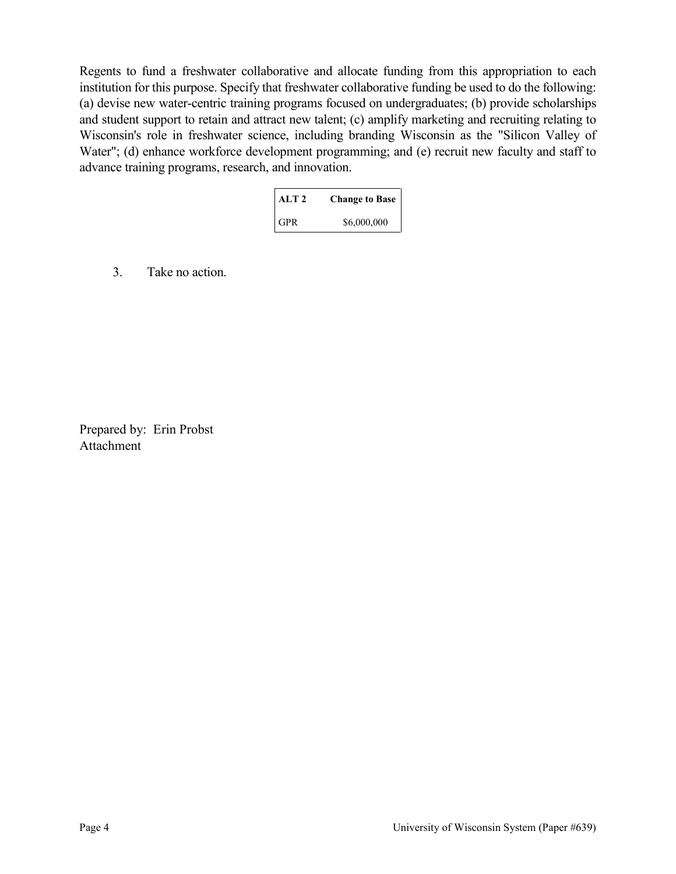Regents to fund a freshwater collaborative and allocate funding from this appropriation to each institution for this purpose. Specify that freshwater collaborative funding be used to do the following: (a) devise new water-centric training programs focused on undergraduates; (b) provide scholarships and student support to retain and attract new talent; (c) amplify marketing and recruiting relating to Wisconsin's role in freshwater science, including branding Wisconsin as the "Silicon Valley of Water"; (d) enhance workforce development programming; and (e) recruit new faculty and staff to advance training programs, research, and innovation.

| ALT <sub>2</sub> | <b>Change to Base</b> |
|------------------|-----------------------|
| <b>GPR</b>       | \$6,000,000           |

3. Take no action.

Prepared by: Erin Probst Attachment